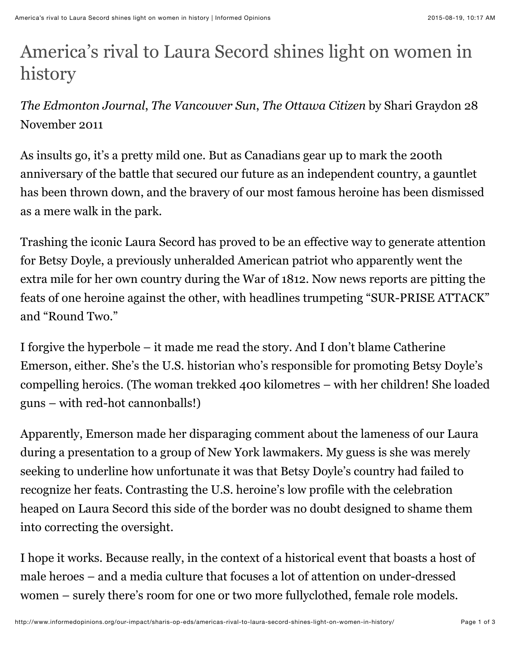## America's rival to Laura Secord shines light on women in history

*The Edmonton Journal*, *The Vancouver Sun*, *The Ottawa Citizen* by Shari Graydon 28 November 2011

As insults go, it's a pretty mild one. But as Canadians gear up to mark the 200th anniversary of the battle that secured our future as an independent country, a gauntlet has been thrown down, and the bravery of our most famous heroine has been dismissed as a mere walk in the park.

Trashing the iconic Laura Secord has proved to be an effective way to generate attention for Betsy Doyle, a previously unheralded American patriot who apparently went the extra mile for her own country during the War of 1812. Now news reports are pitting the feats of one heroine against the other, with headlines trumpeting "SUR-PRISE ATTACK" and "Round Two."

I forgive the hyperbole – it made me read the story. And I don't blame Catherine Emerson, either. She's the U.S. historian who's responsible for promoting Betsy Doyle's compelling heroics. (The woman trekked 400 kilometres – with her children! She loaded guns – with red-hot cannonballs!)

Apparently, Emerson made her disparaging comment about the lameness of our Laura during a presentation to a group of New York lawmakers. My guess is she was merely seeking to underline how unfortunate it was that Betsy Doyle's country had failed to recognize her feats. Contrasting the U.S. heroine's low profile with the celebration heaped on Laura Secord this side of the border was no doubt designed to shame them into correcting the oversight.

I hope it works. Because really, in the context of a historical event that boasts a host of male heroes – and a media culture that focuses a lot of attention on under-dressed women – surely there's room for one or two more fullyclothed, female role models.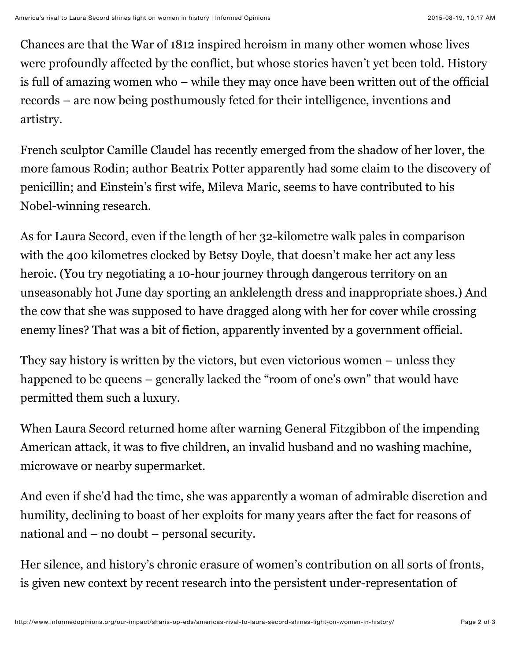Chances are that the War of 1812 inspired heroism in many other women whose lives were profoundly affected by the conflict, but whose stories haven't yet been told. History is full of amazing women who – while they may once have been written out of the official records – are now being posthumously feted for their intelligence, inventions and artistry.

French sculptor Camille Claudel has recently emerged from the shadow of her lover, the more famous Rodin; author Beatrix Potter apparently had some claim to the discovery of penicillin; and Einstein's first wife, Mileva Maric, seems to have contributed to his Nobel-winning research.

As for Laura Secord, even if the length of her 32-kilometre walk pales in comparison with the 400 kilometres clocked by Betsy Doyle, that doesn't make her act any less heroic. (You try negotiating a 10-hour journey through dangerous territory on an unseasonably hot June day sporting an anklelength dress and inappropriate shoes.) And the cow that she was supposed to have dragged along with her for cover while crossing enemy lines? That was a bit of fiction, apparently invented by a government official.

They say history is written by the victors, but even victorious women – unless they happened to be queens – generally lacked the "room of one's own" that would have permitted them such a luxury.

When Laura Secord returned home after warning General Fitzgibbon of the impending American attack, it was to five children, an invalid husband and no washing machine, microwave or nearby supermarket.

And even if she'd had the time, she was apparently a woman of admirable discretion and humility, declining to boast of her exploits for many years after the fact for reasons of national and – no doubt – personal security.

Her silence, and history's chronic erasure of women's contribution on all sorts of fronts, is given new context by recent research into the persistent under-representation of